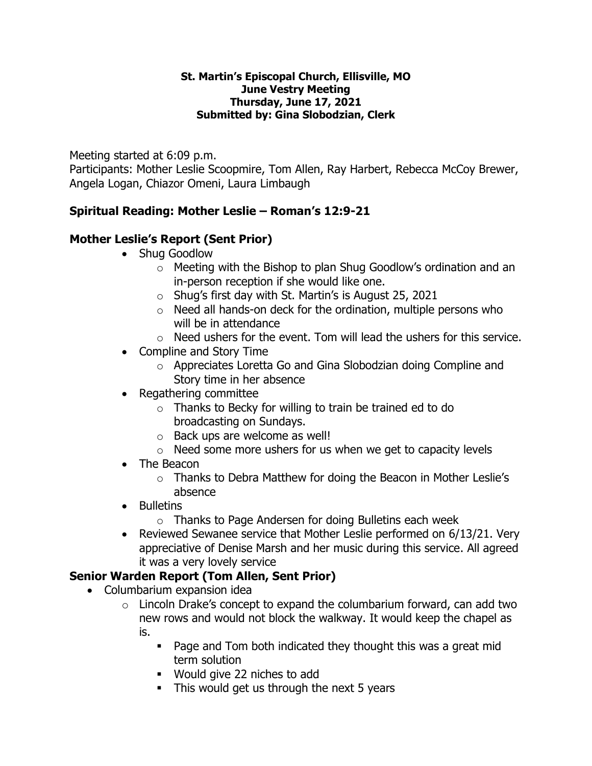#### **St. Martin's Episcopal Church, Ellisville, MO June Vestry Meeting Thursday, June 17, 2021 Submitted by: Gina Slobodzian, Clerk**

Meeting started at 6:09 p.m.

Participants: Mother Leslie Scoopmire, Tom Allen, Ray Harbert, Rebecca McCoy Brewer, Angela Logan, Chiazor Omeni, Laura Limbaugh

# **Spiritual Reading: Mother Leslie – Roman's 12:9-21**

### **Mother Leslie's Report (Sent Prior)**

- Shug Goodlow
	- o Meeting with the Bishop to plan Shug Goodlow's ordination and an in-person reception if she would like one.
	- o Shug's first day with St. Martin's is August 25, 2021
	- $\circ$  Need all hands-on deck for the ordination, multiple persons who will be in attendance
	- $\circ$  Need ushers for the event. Tom will lead the ushers for this service.
- Compline and Story Time
	- o Appreciates Loretta Go and Gina Slobodzian doing Compline and Story time in her absence
- Regathering committee
	- o Thanks to Becky for willing to train be trained ed to do broadcasting on Sundays.
	- o Back ups are welcome as well!
	- $\circ$  Need some more ushers for us when we get to capacity levels
- The Beacon
	- o Thanks to Debra Matthew for doing the Beacon in Mother Leslie's absence
- Bulletins
	- o Thanks to Page Andersen for doing Bulletins each week
- Reviewed Sewanee service that Mother Leslie performed on 6/13/21. Very appreciative of Denise Marsh and her music during this service. All agreed it was a very lovely service

# **Senior Warden Report (Tom Allen, Sent Prior)**

- Columbarium expansion idea
	- $\circ$  Lincoln Drake's concept to expand the columbarium forward, can add two new rows and would not block the walkway. It would keep the chapel as is.
		- Page and Tom both indicated they thought this was a great mid term solution
		- Would give 22 niches to add
		- **EXE** This would get us through the next 5 years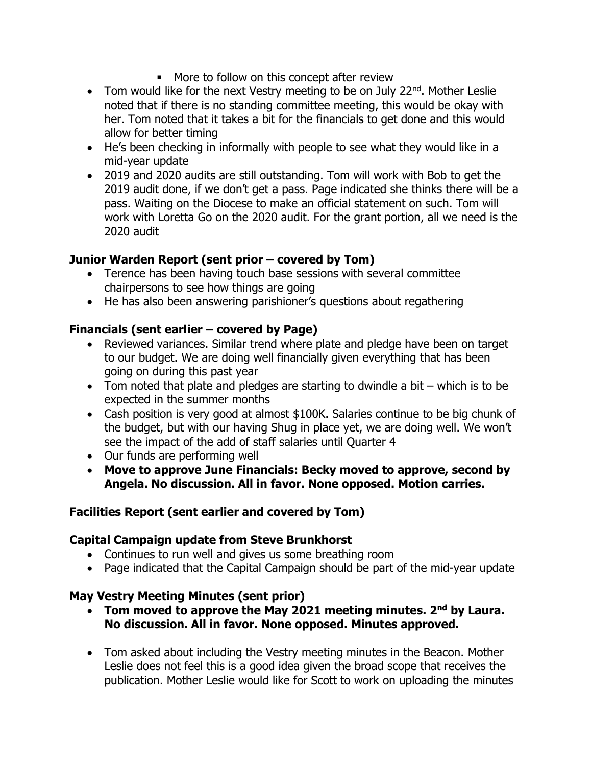- More to follow on this concept after review
- Tom would like for the next Vestry meeting to be on July 22 $^{nd}$ . Mother Leslie noted that if there is no standing committee meeting, this would be okay with her. Tom noted that it takes a bit for the financials to get done and this would allow for better timing
- He's been checking in informally with people to see what they would like in a mid-year update
- 2019 and 2020 audits are still outstanding. Tom will work with Bob to get the 2019 audit done, if we don't get a pass. Page indicated she thinks there will be a pass. Waiting on the Diocese to make an official statement on such. Tom will work with Loretta Go on the 2020 audit. For the grant portion, all we need is the 2020 audit

### **Junior Warden Report (sent prior – covered by Tom)**

- Terence has been having touch base sessions with several committee chairpersons to see how things are going
- He has also been answering parishioner's questions about regathering

# **Financials (sent earlier – covered by Page)**

- Reviewed variances. Similar trend where plate and pledge have been on target to our budget. We are doing well financially given everything that has been going on during this past year
- Tom noted that plate and pledges are starting to dwindle a bit which is to be expected in the summer months
- Cash position is very good at almost \$100K. Salaries continue to be big chunk of the budget, but with our having Shug in place yet, we are doing well. We won't see the impact of the add of staff salaries until Quarter 4
- Our funds are performing well
- **Move to approve June Financials: Becky moved to approve, second by Angela. No discussion. All in favor. None opposed. Motion carries.**

# **Facilities Report (sent earlier and covered by Tom)**

### **Capital Campaign update from Steve Brunkhorst**

- Continues to run well and gives us some breathing room
- Page indicated that the Capital Campaign should be part of the mid-year update

# **May Vestry Meeting Minutes (sent prior)**

- **Tom moved to approve the May 2021 meeting minutes. 2nd by Laura. No discussion. All in favor. None opposed. Minutes approved.**
- Tom asked about including the Vestry meeting minutes in the Beacon. Mother Leslie does not feel this is a good idea given the broad scope that receives the publication. Mother Leslie would like for Scott to work on uploading the minutes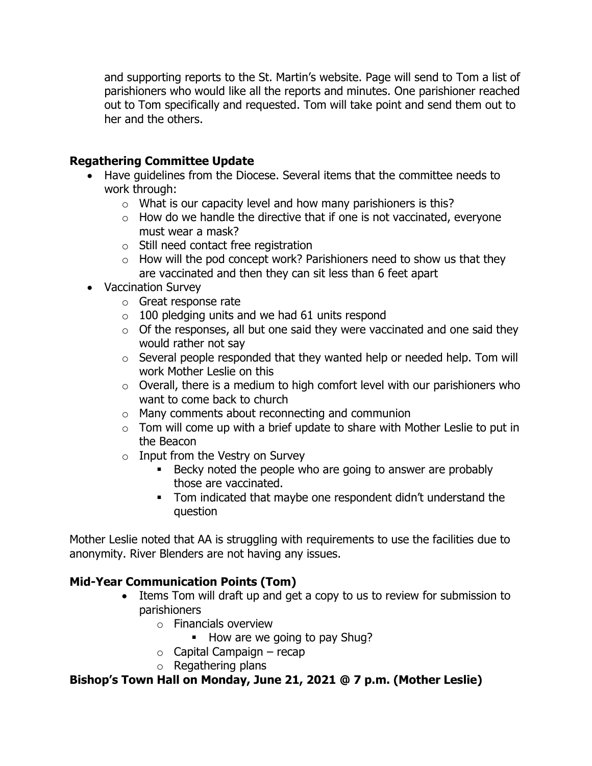and supporting reports to the St. Martin's website. Page will send to Tom a list of parishioners who would like all the reports and minutes. One parishioner reached out to Tom specifically and requested. Tom will take point and send them out to her and the others.

### **Regathering Committee Update**

- Have guidelines from the Diocese. Several items that the committee needs to work through:
	- o What is our capacity level and how many parishioners is this?
	- $\circ$  How do we handle the directive that if one is not vaccinated, everyone must wear a mask?
	- o Still need contact free registration
	- $\circ$  How will the pod concept work? Parishioners need to show us that they are vaccinated and then they can sit less than 6 feet apart
- Vaccination Survey
	- o Great response rate
	- $\circ$  100 pledging units and we had 61 units respond
	- $\circ$  Of the responses, all but one said they were vaccinated and one said they would rather not say
	- o Several people responded that they wanted help or needed help. Tom will work Mother Leslie on this
	- $\circ$  Overall, there is a medium to high comfort level with our parishioners who want to come back to church
	- o Many comments about reconnecting and communion
	- $\circ$  Tom will come up with a brief update to share with Mother Leslie to put in the Beacon
	- $\circ$  Input from the Vestry on Survey
		- Becky noted the people who are going to answer are probably those are vaccinated.
		- Tom indicated that maybe one respondent didn't understand the question

Mother Leslie noted that AA is struggling with requirements to use the facilities due to anonymity. River Blenders are not having any issues.

# **Mid-Year Communication Points (Tom)**

- Items Tom will draft up and get a copy to us to review for submission to parishioners
	- o Financials overview
		- How are we going to pay Shug?
	- $\circ$  Capital Campaign recap
	- o Regathering plans

# **Bishop's Town Hall on Monday, June 21, 2021 @ 7 p.m. (Mother Leslie)**